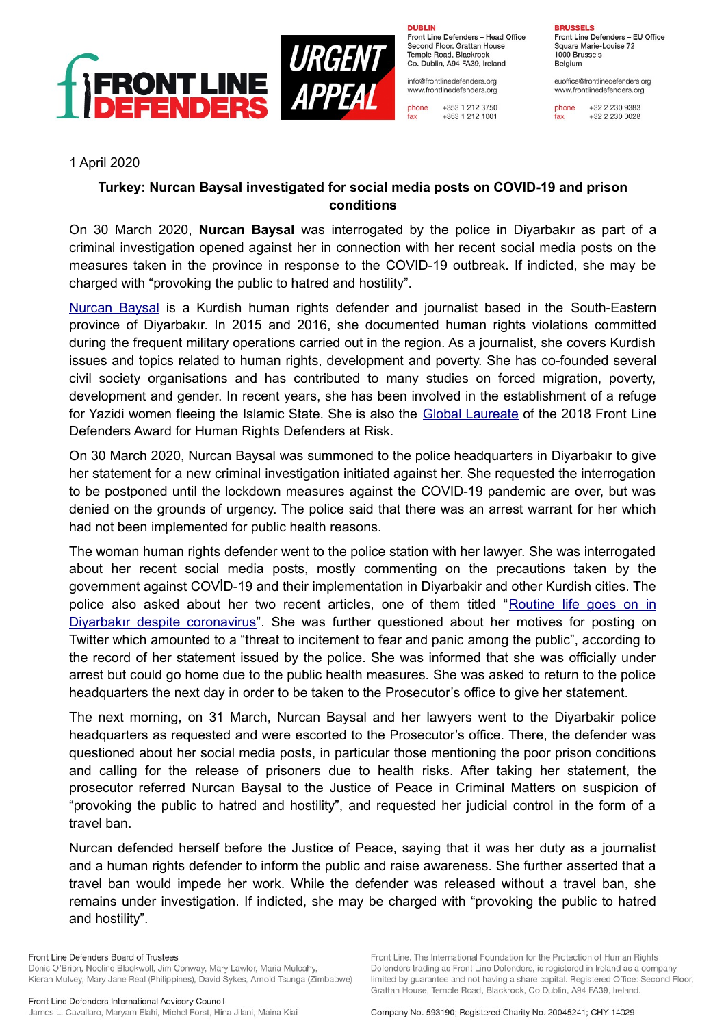

**DUBLIN** 

Front Line Defenders - Head Office Second Floor, Grattan House Temple Road, Blackrock Co. Dublin, A94 FA39, Ireland

info@frontlinedefenders.org www.frontlinedefenders.org

phone +353 1 212 3750  $rac{1}{\tan x}$ +353 1 212 1001

**BRUSSELS** Front Line Defenders - EU Office Square Marie-Louise 72 1000 Brussels Belgium

euoffice@frontlinedefenders.org www.frontlinedefenders.org

phone +32 2 230 9383  $fax$ +32 2 230 0028

## 1 April 2020

## **Turkey: Nurcan Baysal investigated for social media posts on COVID-19 and prison conditions**

On 30 March 2020, **Nurcan Baysal** was interrogated by the police in Diyarbakır as part of a criminal investigation opened against her in connection with her recent social media posts on the measures taken in the province in response to the COVID-19 outbreak. If indicted, she may be charged with "provoking the public to hatred and hostility".

[Nurcan Baysal](https://www.frontlinedefenders.org/en/profile/nurcan-baysal) is a Kurdish human rights defender and journalist based in the South-Eastern province of Diyarbakır. In 2015 and 2016, she documented human rights violations committed during the frequent military operations carried out in the region. As a journalist, she covers Kurdish issues and topics related to human rights, development and poverty. She has co-founded several civil society organisations and has contributed to many studies on forced migration, poverty, development and gender. In recent years, she has been involved in the establishment of a refuge for Yazidi women fleeing the Islamic State. She is also the [Global Laureate](https://www.frontlinedefenders.org/en/2018-front-line-defenders-award-human-rights-defenders-risk) of the 2018 Front Line Defenders Award for Human Rights Defenders at Risk.

On 30 March 2020, Nurcan Baysal was summoned to the police headquarters in Diyarbakır to give her statement for a new criminal investigation initiated against her. She requested the interrogation to be postponed until the lockdown measures against the COVID-19 pandemic are over, but was denied on the grounds of urgency. The police said that there was an arrest warrant for her which had not been implemented for public health reasons.

The woman human rights defender went to the police station with her lawyer. She was interrogated about her recent social media posts, mostly commenting on the precautions taken by the government against COVİD-19 and their implementation in Diyarbakir and other Kurdish cities. The police also asked about her two recent articles, one of them titled "[Routine life goes on in](https://ahvalnews.com/turkey-coronavirus/routine-life-goes-diyarbakir-despite-coronavirus) [Diyarbakır despite coronavirus](https://ahvalnews.com/turkey-coronavirus/routine-life-goes-diyarbakir-despite-coronavirus)". She was further questioned about her motives for posting on Twitter which amounted to a "threat to incitement to fear and panic among the public", according to the record of her statement issued by the police. She was informed that she was officially under arrest but could go home due to the public health measures. She was asked to return to the police headquarters the next day in order to be taken to the Prosecutor's office to give her statement.

The next morning, on 31 March, Nurcan Baysal and her lawyers went to the Diyarbakir police headquarters as requested and were escorted to the Prosecutor's office. There, the defender was questioned about her social media posts, in particular those mentioning the poor prison conditions and calling for the release of prisoners due to health risks. After taking her statement, the prosecutor referred Nurcan Baysal to the Justice of Peace in Criminal Matters on suspicion of "provoking the public to hatred and hostility", and requested her judicial control in the form of a travel ban.

Nurcan defended herself before the Justice of Peace, saying that it was her duty as a journalist and a human rights defender to inform the public and raise awareness. She further asserted that a travel ban would impede her work. While the defender was released without a travel ban, she remains under investigation. If indicted, she may be charged with "provoking the public to hatred and hostility".

Front Line. The International Foundation for the Protection of Human Rights

Defenders trading as Front Line Defenders, is registered in Ireland as a company

limited by guarantee and not having a share capital. Registered Office: Second Floor,

Front Line Defenders Board of Trustees Denis O'Brien, Noeline Blackwell, Jim Conway, Mary Lawlor, Maria Mulcahy, Kieran Mulvey, Mary Jane Real (Philippines), David Sykes, Arnold Tsunga (Zimbabwe)